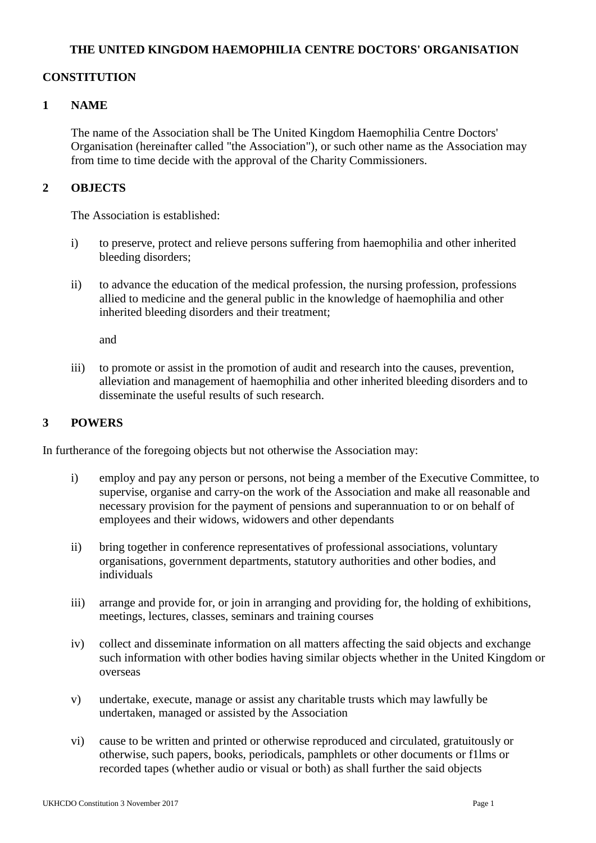#### **THE UNITED KINGDOM HAEMOPHILIA CENTRE DOCTORS' ORGANISATION**

### **CONSTITUTION**

### **1 NAME**

The name of the Association shall be The United Kingdom Haemophilia Centre Doctors' Organisation (hereinafter called "the Association"), or such other name as the Association may from time to time decide with the approval of the Charity Commissioners.

## **2 OBJECTS**

The Association is established:

- i) to preserve, protect and relieve persons suffering from haemophilia and other inherited bleeding disorders;
- ii) to advance the education of the medical profession, the nursing profession, professions allied to medicine and the general public in the knowledge of haemophilia and other inherited bleeding disorders and their treatment;

and

iii) to promote or assist in the promotion of audit and research into the causes, prevention, alleviation and management of haemophilia and other inherited bleeding disorders and to disseminate the useful results of such research.

#### **3 POWERS**

In furtherance of the foregoing objects but not otherwise the Association may:

- i) employ and pay any person or persons, not being a member of the Executive Committee, to supervise, organise and carry-on the work of the Association and make all reasonable and necessary provision for the payment of pensions and superannuation to or on behalf of employees and their widows, widowers and other dependants
- ii) bring together in conference representatives of professional associations, voluntary organisations, government departments, statutory authorities and other bodies, and individuals
- iii) arrange and provide for, or join in arranging and providing for, the holding of exhibitions, meetings, lectures, classes, seminars and training courses
- iv) collect and disseminate information on all matters affecting the said objects and exchange such information with other bodies having similar objects whether in the United Kingdom or overseas
- v) undertake, execute, manage or assist any charitable trusts which may lawfully be undertaken, managed or assisted by the Association
- vi) cause to be written and printed or otherwise reproduced and circulated, gratuitously or otherwise, such papers, books, periodicals, pamphlets or other documents or f1lms or recorded tapes (whether audio or visual or both) as shall further the said objects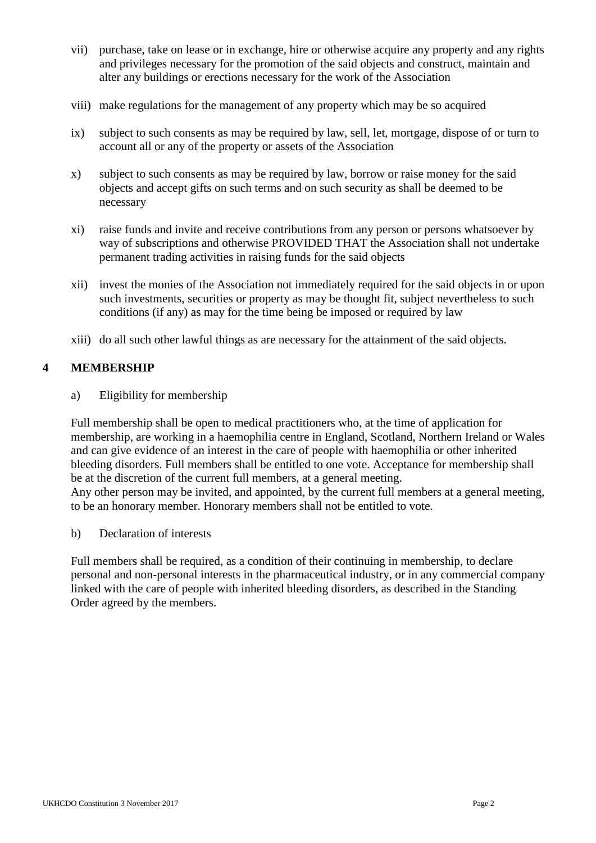- vii) purchase, take on lease or in exchange, hire or otherwise acquire any property and any rights and privileges necessary for the promotion of the said objects and construct, maintain and alter any buildings or erections necessary for the work of the Association
- viii) make regulations for the management of any property which may be so acquired
- ix) subject to such consents as may be required by law, sell, let, mortgage, dispose of or turn to account all or any of the property or assets of the Association
- x) subject to such consents as may be required by law, borrow or raise money for the said objects and accept gifts on such terms and on such security as shall be deemed to be necessary
- xi) raise funds and invite and receive contributions from any person or persons whatsoever by way of subscriptions and otherwise PROVIDED THAT the Association shall not undertake permanent trading activities in raising funds for the said objects
- xii) invest the monies of the Association not immediately required for the said objects in or upon such investments, securities or property as may be thought fit, subject nevertheless to such conditions (if any) as may for the time being be imposed or required by law
- xiii) do all such other lawful things as are necessary for the attainment of the said objects.

# **4 MEMBERSHIP**

a) Eligibility for membership

Full membership shall be open to medical practitioners who, at the time of application for membership, are working in a haemophilia centre in England, Scotland, Northern Ireland or Wales and can give evidence of an interest in the care of people with haemophilia or other inherited bleeding disorders. Full members shall be entitled to one vote. Acceptance for membership shall be at the discretion of the current full members, at a general meeting. Any other person may be invited, and appointed, by the current full members at a general meeting, to be an honorary member. Honorary members shall not be entitled to vote.

b) Declaration of interests

Full members shall be required, as a condition of their continuing in membership, to declare personal and non-personal interests in the pharmaceutical industry, or in any commercial company linked with the care of people with inherited bleeding disorders, as described in the Standing Order agreed by the members.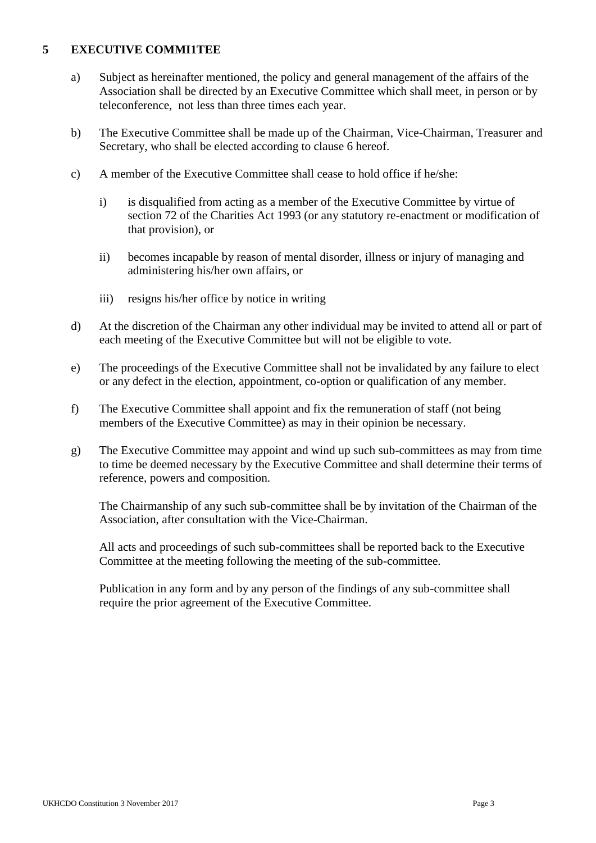### **5 EXECUTIVE COMMI1TEE**

- a) Subject as hereinafter mentioned, the policy and general management of the affairs of the Association shall be directed by an Executive Committee which shall meet, in person or by teleconference, not less than three times each year.
- b) The Executive Committee shall be made up of the Chairman, Vice-Chairman, Treasurer and Secretary, who shall be elected according to clause 6 hereof.
- c) A member of the Executive Committee shall cease to hold office if he/she:
	- i) is disqualified from acting as a member of the Executive Committee by virtue of section 72 of the Charities Act 1993 (or any statutory re-enactment or modification of that provision), or
	- ii) becomes incapable by reason of mental disorder, illness or injury of managing and administering his/her own affairs, or
	- iii) resigns his/her office by notice in writing
- d) At the discretion of the Chairman any other individual may be invited to attend all or part of each meeting of the Executive Committee but will not be eligible to vote.
- e) The proceedings of the Executive Committee shall not be invalidated by any failure to elect or any defect in the election, appointment, co-option or qualification of any member.
- f) The Executive Committee shall appoint and fix the remuneration of staff (not being members of the Executive Committee) as may in their opinion be necessary.
- g) The Executive Committee may appoint and wind up such sub-committees as may from time to time be deemed necessary by the Executive Committee and shall determine their terms of reference, powers and composition.

The Chairmanship of any such sub-committee shall be by invitation of the Chairman of the Association, after consultation with the Vice-Chairman.

All acts and proceedings of such sub-committees shall be reported back to the Executive Committee at the meeting following the meeting of the sub-committee.

Publication in any form and by any person of the findings of any sub-committee shall require the prior agreement of the Executive Committee.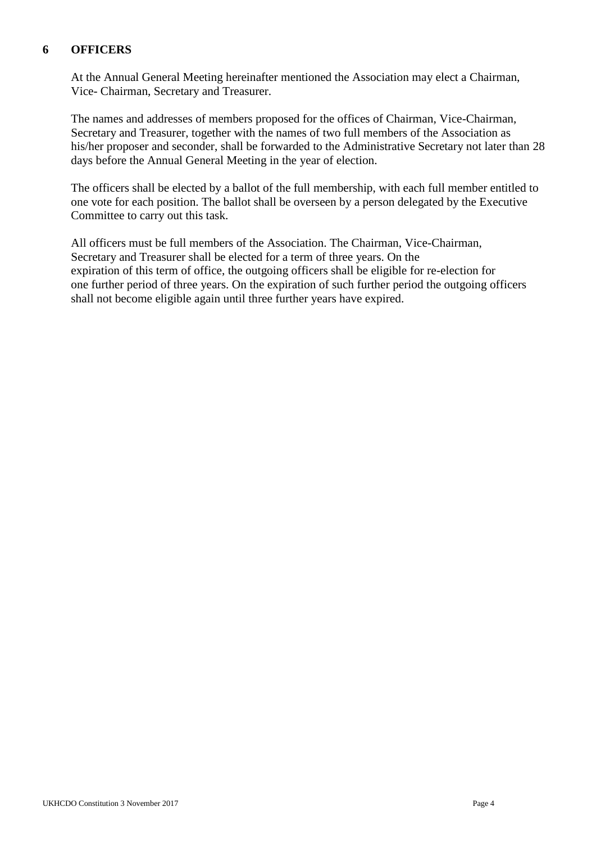### **6 OFFICERS**

At the Annual General Meeting hereinafter mentioned the Association may elect a Chairman, Vice- Chairman, Secretary and Treasurer.

The names and addresses of members proposed for the offices of Chairman, Vice-Chairman, Secretary and Treasurer, together with the names of two full members of the Association as his/her proposer and seconder, shall be forwarded to the Administrative Secretary not later than 28 days before the Annual General Meeting in the year of election.

The officers shall be elected by a ballot of the full membership, with each full member entitled to one vote for each position. The ballot shall be overseen by a person delegated by the Executive Committee to carry out this task.

All officers must be full members of the Association. The Chairman, Vice-Chairman, Secretary and Treasurer shall be elected for a term of three years. On the expiration of this term of office, the outgoing officers shall be eligible for re-election for one further period of three years. On the expiration of such further period the outgoing officers shall not become eligible again until three further years have expired.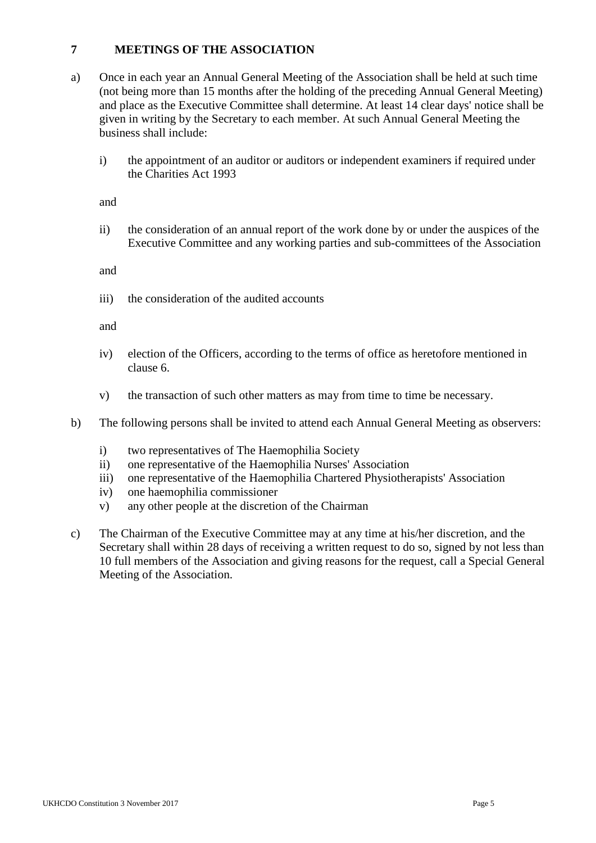## **7 MEETINGS OF THE ASSOCIATION**

- a) Once in each year an Annual General Meeting of the Association shall be held at such time (not being more than 15 months after the holding of the preceding Annual General Meeting) and place as the Executive Committee shall determine. At least 14 clear days' notice shall be given in writing by the Secretary to each member. At such Annual General Meeting the business shall include:
	- i) the appointment of an auditor or auditors or independent examiners if required under the Charities Act 1993

and

ii) the consideration of an annual report of the work done by or under the auspices of the Executive Committee and any working parties and sub-committees of the Association

and

iii) the consideration of the audited accounts

and

- iv) election of the Officers, according to the terms of office as heretofore mentioned in clause 6.
- v) the transaction of such other matters as may from time to time be necessary.
- b) The following persons shall be invited to attend each Annual General Meeting as observers:
	- i) two representatives of The Haemophilia Society
	- ii) one representative of the Haemophilia Nurses' Association
	- iii) one representative of the Haemophilia Chartered Physiotherapists' Association
	- iv) one haemophilia commissioner
	- v) any other people at the discretion of the Chairman
- c) The Chairman of the Executive Committee may at any time at his/her discretion, and the Secretary shall within 28 days of receiving a written request to do so, signed by not less than 10 full members of the Association and giving reasons for the request, call a Special General Meeting of the Association.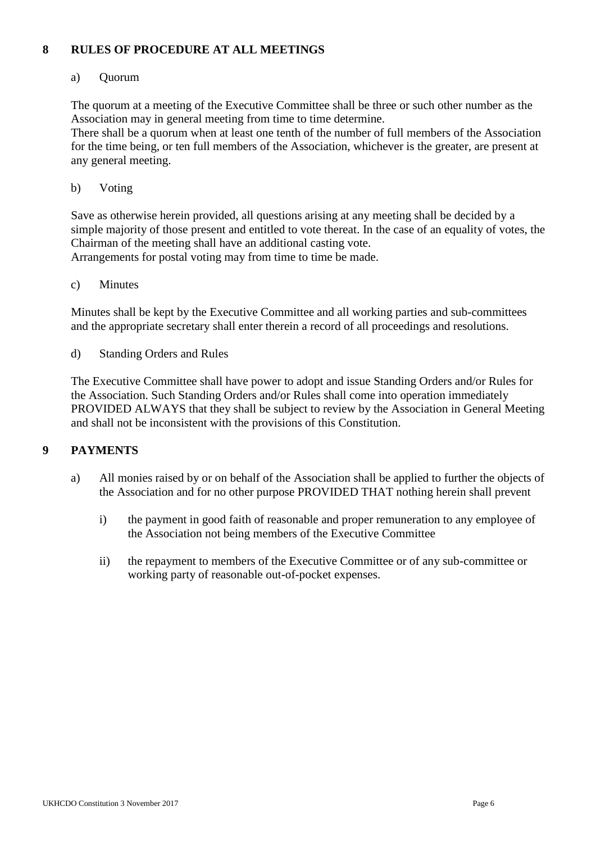## **8 RULES OF PROCEDURE AT ALL MEETINGS**

### a) Quorum

The quorum at a meeting of the Executive Committee shall be three or such other number as the Association may in general meeting from time to time determine.

There shall be a quorum when at least one tenth of the number of full members of the Association for the time being, or ten full members of the Association, whichever is the greater, are present at any general meeting.

b) Voting

Save as otherwise herein provided, all questions arising at any meeting shall be decided by a simple majority of those present and entitled to vote thereat. In the case of an equality of votes, the Chairman of the meeting shall have an additional casting vote. Arrangements for postal voting may from time to time be made.

c) Minutes

Minutes shall be kept by the Executive Committee and all working parties and sub-committees and the appropriate secretary shall enter therein a record of all proceedings and resolutions.

d) Standing Orders and Rules

The Executive Committee shall have power to adopt and issue Standing Orders and/or Rules for the Association. Such Standing Orders and/or Rules shall come into operation immediately PROVIDED ALWAYS that they shall be subject to review by the Association in General Meeting and shall not be inconsistent with the provisions of this Constitution.

# **9 PAYMENTS**

- a) All monies raised by or on behalf of the Association shall be applied to further the objects of the Association and for no other purpose PROVIDED THAT nothing herein shall prevent
	- i) the payment in good faith of reasonable and proper remuneration to any employee of the Association not being members of the Executive Committee
	- ii) the repayment to members of the Executive Committee or of any sub-committee or working party of reasonable out-of-pocket expenses.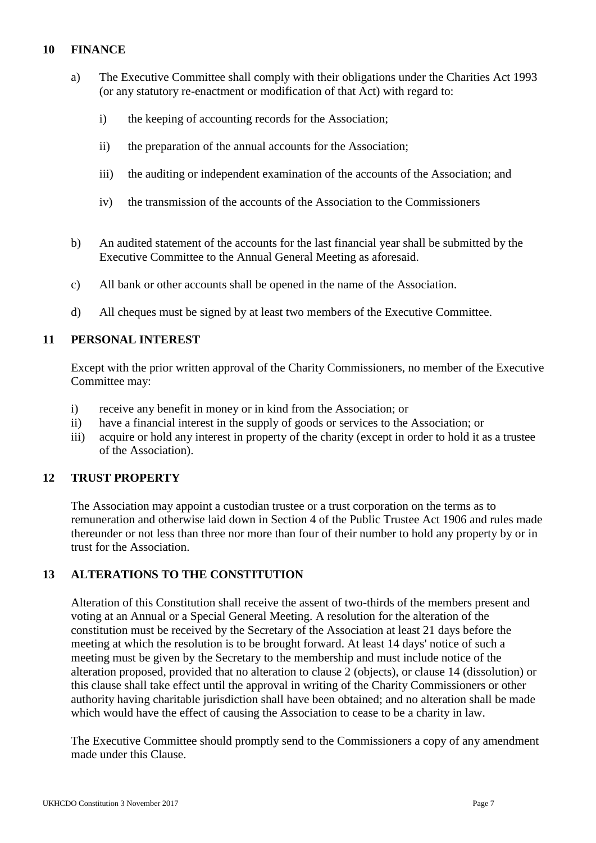### **10 FINANCE**

- a) The Executive Committee shall comply with their obligations under the Charities Act 1993 (or any statutory re-enactment or modification of that Act) with regard to:
	- i) the keeping of accounting records for the Association;
	- ii) the preparation of the annual accounts for the Association;
	- iii) the auditing or independent examination of the accounts of the Association; and
	- iv) the transmission of the accounts of the Association to the Commissioners
- b) An audited statement of the accounts for the last financial year shall be submitted by the Executive Committee to the Annual General Meeting as aforesaid.
- c) All bank or other accounts shall be opened in the name of the Association.
- d) All cheques must be signed by at least two members of the Executive Committee.

#### **11 PERSONAL INTEREST**

Except with the prior written approval of the Charity Commissioners, no member of the Executive Committee may:

- i) receive any benefit in money or in kind from the Association; or
- ii) have a financial interest in the supply of goods or services to the Association; or
- iii) acquire or hold any interest in property of the charity (except in order to hold it as a trustee of the Association).

# **12 TRUST PROPERTY**

The Association may appoint a custodian trustee or a trust corporation on the terms as to remuneration and otherwise laid down in Section 4 of the Public Trustee Act 1906 and rules made thereunder or not less than three nor more than four of their number to hold any property by or in trust for the Association.

# **13 ALTERATIONS TO THE CONSTITUTION**

Alteration of this Constitution shall receive the assent of two-thirds of the members present and voting at an Annual or a Special General Meeting. A resolution for the alteration of the constitution must be received by the Secretary of the Association at least 21 days before the meeting at which the resolution is to be brought forward. At least 14 days' notice of such a meeting must be given by the Secretary to the membership and must include notice of the alteration proposed, provided that no alteration to clause 2 (objects), or clause 14 (dissolution) or this clause shall take effect until the approval in writing of the Charity Commissioners or other authority having charitable jurisdiction shall have been obtained; and no alteration shall be made which would have the effect of causing the Association to cease to be a charity in law.

The Executive Committee should promptly send to the Commissioners a copy of any amendment made under this Clause.